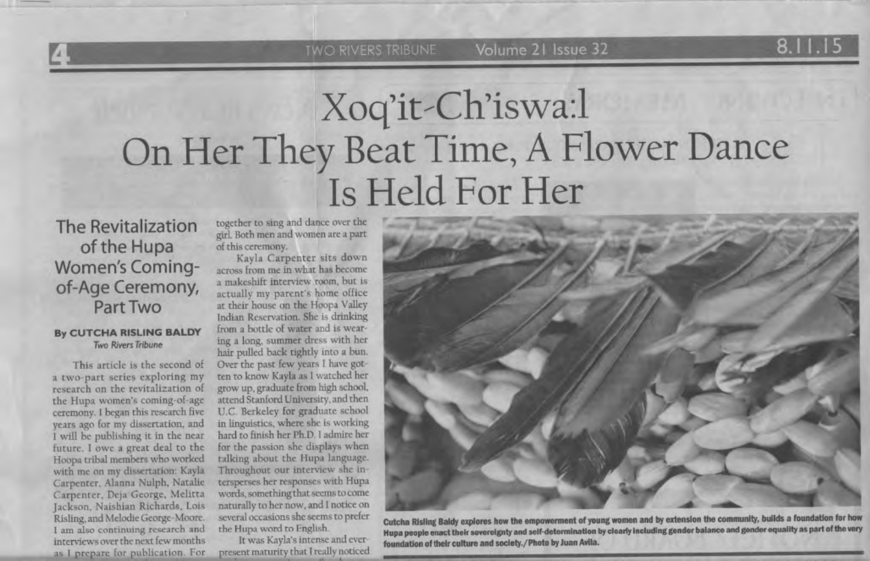## Xoq'it-Ch'iswa:l On Her They Beat Time, A Flower Dance Is Held For Her

The Revitalization of the Hupa Women's Comingof-Age Ceremony, Part Two

## **By CUTCHA RISLING BALDY**  Two Rivers Tribune

This article is the second of a two-part series exploring my research on the revitalization of the Hupa women's coming-of-age ceremony. I began this research five years ago for my dissertation, and I will be publishing it in the near future. I owe a great deal to the Hoopa tribal members who worked with me on my dissertation: Kayla Carpencer. Alanna Nulph, Natalie Carpenter, Deja George, Melitta Jackson, Naishian Richards, Lois Risling, and Melodie George-Moore. I am also continuing research and interviews over the next few months as I prepare for publication. For

together to sing and dance over the girl. Both men and women are a part of this ceremony.

Kayla Carpenter sits down across from me in what has become a makeshift interview room, but is actually my parent's home office at their house on the Hoopa Valley Indian Reservation. She is drinking from a bottle of water and is wearing a long, summer dress with her hair pulled back rightly into a bun. Over the past few years I have gotten to know Kayla as I watched her grow up, graduate from high school, attend Stanford University, and then U.C. Berkeley for graduate school in linguistics, where she is working bard to 6nish her Ph.D I admire her for the passion she displays when talking about the Hupa language. Throughout our interview she intersperses her responses with Hupa words, something that seems to come naturally to her now, and I notice on several occasions she seems to prefer the Hupa word to English.

lt was Kayla's intense and ever present maturity that I really noticed



**Cutcha Risling Baldy explores how the empowerment of young women and by extension the community, builds a foundation for h** Hupa people enact their sovereignty and self-determination by clearly including gender balance and gender equality as part of the very foundation of their culture and society./Photo by Juan Avila.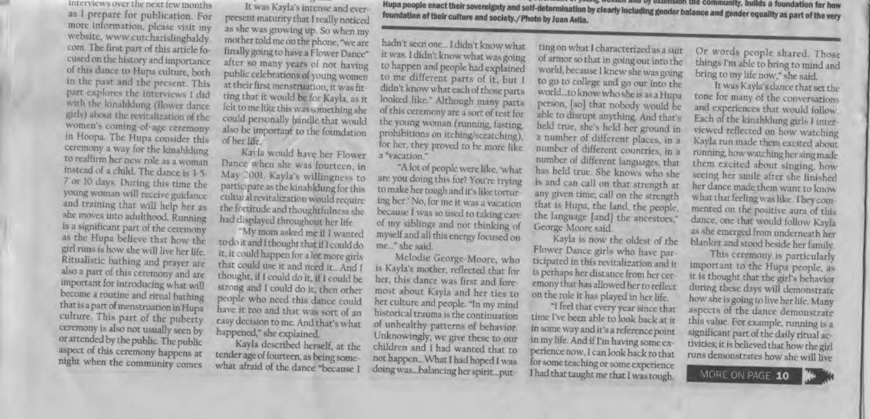interviews over the next few months as I prepare for publication. For more information, please visit my website, www.cutcharislingbaldy. com. The first part of this article focused on the history and importance of this dance to Hupa culture, both in the past and the present. This part explores the interviews I did with the lonahldung (flower dance) girls) about the revitalization of the women's coming-of-age ceremony in Hoopa. The Hupa consider this ceremony a way for the kinahldung to reaffirm her new role as a woman instead of a child. The dance is 3-5-7 or 10 days. During this time the young woman will receive guidance and training that will help her as she moves into adulthood. Running is a significant part of the ceremony as the Hupa believe that how the girl runs is how she will live her life. Ritualistic bathing and prayer are also a part of this ceremony and are important for introducing what will become a routine and ritual bathing that is a part of menstruation in Hupa culture. This part of the puberty ceremony is also not usually seen by or attended by the public. The public aspect of this ceremony happens at night when the community comes

It was Kayla's intense and ever-

present maturity that I really noticed as she was growing up. So when my mother told me on the phone, "we are finally going to have a Flower Dance" after so many years of not having public celebrations of young women at their first menstruation, it was fitting that it would be for Kayla, as it felt to me like this was something she could personally bandle that would also be important to the foundation. of her life.

Kayla would have her Flower Dance when she was fourteen, in May 2001. Kayla's willingness to participate as the kinahidung for this cultural revitalization would require the fortitude and thoughtfulness she had displayed throughout her life.

"My mom asked me if I wanted to do it and I thought that if I could do it, it could happen for a lot more girls that could use it and need it.. And I thought, if I could do it, if I could be strong and I could do it, then other people who need this dance could have it too and that was sort of an easy decision to me. And that's what happened," she explained.

Kayla described herself, at the tender age of fourteen, as being somewhat afraid of the dance "because I

Hupa people enact their sovereignty and self-determination by clearly including gender balance and gender equality as part of the very foundation of their culture and society./ Photo by Juan Avila.

hadn't seen one... I didn't know what it was. I didn't know what was going to happen and people had explained to me different parts of it, but I didn't know what each of those parts looked like." Although many parts of this ceremony are a sort of test for the young woman (running, fasting, prohibitions on itching/scratching), for her, they proved to be more like a "vacation."

"A lot of people were like, 'what are you doing this for? You're trying to make her tough and it's like torturing her.' No, for me it was a vacation. because I was so used to taking care. of my siblings and not thinking of myself and all this energy focused on me..." she said.

Melodie George-Moore, who is Kayla's mother, reflected that for her, this dance was first and foremost about Kayla and her ties to her culture and people. "In my mind. historical trauma is the continuation of unhealthy patterns of behavior. Unknowingly, we give these to our children and I had wanted that to not happen... What I had hoped I was doing was...balancing her spirit...put-

ting on what I characterized as a suit of armor so that in going out into the world, because I knew she was going to go to college and go out into the world...to know who she is as a Hupa person, [so] that nobody would be able to disrupt anything. And that's held true, she's held her ground in a number of different places, in a number of different countries, in a number of different languages, that has held true. She knows who she is and can call on that strength at any given time; call on the strength that is Hupa, the land, the people, the language [and] the ancestors," George-Moore said.

Kayla is now the oldest of the Flower Dance girls who have participated in this revitalization and it is perhaps her distance from her ceremony that has allowed her to reflect on the role it has played in her life.

"I feel that every year since that time I've been able to look back at it in some way and it's a reference point in my life. And if I'm having some experience now, I can look back to that for some teaching or some experience I had that taught me that I was tough.

Or words people shared. Those things I'm able to bring to mind and bring to my life now," she said.

It was Kayla's dance that set the tone for many of the conversations and experiences that would follow. Each of the kinahldung girls I interviewed reflected on how watching Kayla run made them excited about running, how watching her sing made them excited about singing, how seeing her smile after she finished her dance made them want to know what that feeling was like. They commented on the positive aura of this dance, one that would follow Kayla as she emerged from underneath her blanket and stood beside her family.

This ceremony is particularly important to the Hupa people, as it is thought that the girl's behavior during these days will demonstrate how she is going to live her life. Many aspects of the dance demonstrate this value. For example, running is a significant part of the daily ritual activities; it is believed that how the girl runs demonstrates how she will live

MORE ON PAGE 10